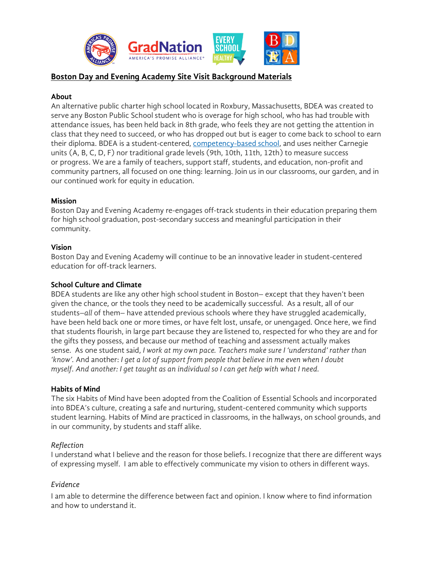

# **Boston Day and Evening Academy Site Visit Background Materials**

#### **About**

An alternative public charter high school located in Roxbury, Massachusetts, BDEA was created to serve any Boston Public School student who is overage for high school, who has had trouble with attendance issues, has been held back in 8th grade, who feels they are not getting the attention in class that they need to succeed, or who has dropped out but is eager to come back to school to earn their diploma. BDEA is a student-centered, competency-based school, and uses neither Carnegie units (A, B, C, D, F) nor traditional grade levels (9th, 10th, 11th, 12th) to measure success or progress. We are a family of teachers, support staff, students, and education, non-profit and community partners, all focused on one thing: learning. Join us in our classrooms, our garden, and in our continued work for equity in education.

#### **Mission**

Boston Day and Evening Academy re-engages off-track students in their education preparing them for high school graduation, post-secondary success and meaningful participation in their community.

#### **Vision**

Boston Day and Evening Academy will continue to be an innovative leader in student-centered education for off-track learners.

### **School Culture and Climate**

BDEA students are like any other high school student in Boston– except that they haven't been given the chance, or the tools they need to be academically successful. As a result, all of our students–*all* of them– have attended previous schools where they have struggled academically, have been held back one or more times, or have felt lost, unsafe, or unengaged. Once here, we find that students flourish, in large part because they are listened to, respected for who they are and for the gifts they possess, and because our method of teaching and assessment actually makes sense. As one student said, *I work at my own pace. Teachers make sure I 'understand' rather than 'know'.* And another: *I get a lot of support from people that believe in me even when I doubt myself. And another: I get taught as an individual so I can get help with what I need.*

#### **Habits of Mind**

The six Habits of Mind have been adopted from the Coalition of Essential Schools and incorporated into BDEA's culture, creating a safe and nurturing, student-centered community which supports student learning. Habits of Mind are practiced in classrooms, in the hallways, on school grounds, and in our community, by students and staff alike.

#### *Reflection*

I understand what I believe and the reason for those beliefs. I recognize that there are different ways of expressing myself. I am able to effectively communicate my vision to others in different ways.

## *Evidence*

I am able to determine the difference between fact and opinion. I know where to find information and how to understand it.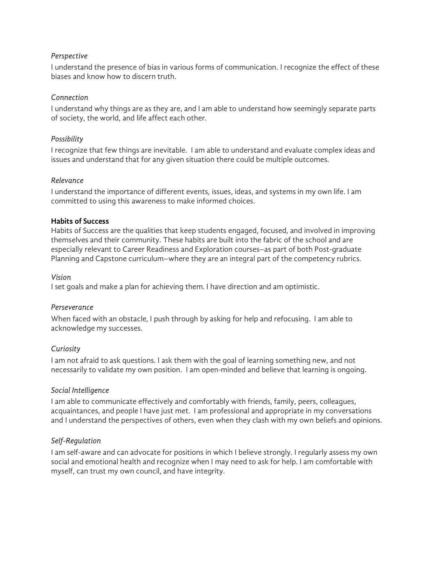### *Perspective*

I understand the presence of bias in various forms of communication. I recognize the effect of these biases and know how to discern truth.

### *Connection*

I understand why things are as they are, and I am able to understand how seemingly separate parts of society, the world, and life affect each other.

### *Possibility*

I recognize that few things are inevitable. I am able to understand and evaluate complex ideas and issues and understand that for any given situation there could be multiple outcomes.

#### *Relevance*

I understand the importance of different events, issues, ideas, and systems in my own life. I am committed to using this awareness to make informed choices.

#### **Habits of Success**

Habits of Success are the qualities that keep students engaged, focused, and involved in improving themselves and their community. These habits are built into the fabric of the school and are especially relevant to Career Readiness and Exploration courses–as part of both Post-graduate Planning and Capstone curriculum–where they are an integral part of the competency rubrics.

#### *Vision*

I set goals and make a plan for achieving them. I have direction and am optimistic.

#### *Perseverance*

When faced with an obstacle, I push through by asking for help and refocusing. I am able to acknowledge my successes.

## *Curiosity*

I am not afraid to ask questions. I ask them with the goal of learning something new, and not necessarily to validate my own position. I am open-minded and believe that learning is ongoing.

## *Social Intelligence*

I am able to communicate effectively and comfortably with friends, family, peers, colleagues, acquaintances, and people I have just met. I am professional and appropriate in my conversations and I understand the perspectives of others, even when they clash with my own beliefs and opinions.

## *Self-Regulation*

I am self-aware and can advocate for positions in which I believe strongly. I regularly assess my own social and emotional health and recognize when I may need to ask for help. I am comfortable with myself, can trust my own council, and have integrity.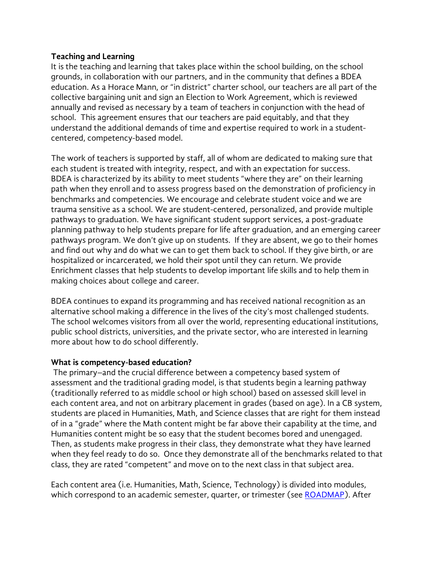# **Teaching and Learning**

It is the teaching and learning that takes place within the school building, on the school grounds, in collaboration with our partners, and in the community that defines a BDEA education. As a Horace Mann, or "in district" charter school, our teachers are all part of the collective bargaining unit and sign an Election to Work Agreement, which is reviewed annually and revised as necessary by a team of teachers in conjunction with the head of school. This agreement ensures that our teachers are paid equitably, and that they understand the additional demands of time and expertise required to work in a studentcentered, competency-based model.

The work of teachers is supported by staff, all of whom are dedicated to making sure that each student is treated with integrity, respect, and with an expectation for success. BDEA is characterized by its ability to meet students "where they are" on their learning path when they enroll and to assess progress based on the demonstration of proficiency in benchmarks and competencies. We encourage and celebrate student voice and we are trauma sensitive as a school. We are student-centered, personalized, and provide multiple pathways to graduation. We have significant student support services, a post-graduate planning pathway to help students prepare for life after graduation, and an emerging career pathways program. We don't give up on students. If they are absent, we go to their homes and find out why and do what we can to get them back to school. If they give birth, or are hospitalized or incarcerated, we hold their spot until they can return. We provide Enrichment classes that help students to develop important life skills and to help them in making choices about college and career.

BDEA continues to expand its programming and has received national recognition as an alternative school making a difference in the lives of the city's most challenged students. The school welcomes visitors from all over the world, representing educational institutions, public school districts, universities, and the private sector, who are interested in learning more about how to do school differently.

# **What is competency-based education?**

The primary–and the crucial difference between a competency based system of assessment and the traditional grading model, is that students begin a learning pathway (traditionally referred to as middle school or high school) based on assessed skill level in each content area, and not on arbitrary placement in grades (based on age). In a CB system, students are placed in Humanities, Math, and Science classes that are right for them instead of in a "grade" where the Math content might be far above their capability at the time, and Humanities content might be so easy that the student becomes bored and unengaged. Then, as students make progress in their class, they demonstrate what they have learned when they feel ready to do so. Once they demonstrate all of the benchmarks related to that class, they are rated "competent" and move on to the next class in that subject area.

Each content area (i.e. Humanities, Math, Science, Technology) is divided into modules, which correspond to an academic semester, quarter, or trimester (see ROADMAP). After